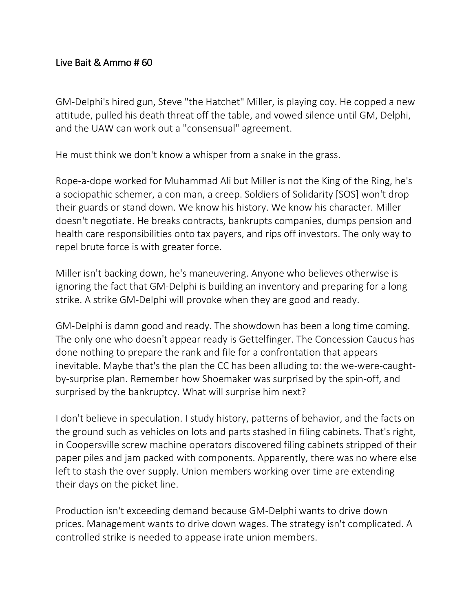## Live Bait & Ammo # 60

GM-Delphi's hired gun, Steve "the Hatchet" Miller, is playing coy. He copped a new attitude, pulled his death threat off the table, and vowed silence until GM, Delphi, and the UAW can work out a "consensual" agreement.

He must think we don't know a whisper from a snake in the grass.

Rope-a-dope worked for Muhammad Ali but Miller is not the King of the Ring, he's a sociopathic schemer, a con man, a creep. Soldiers of Solidarity [SOS] won't drop their guards or stand down. We know his history. We know his character. Miller doesn't negotiate. He breaks contracts, bankrupts companies, dumps pension and health care responsibilities onto tax payers, and rips off investors. The only way to repel brute force is with greater force.

Miller isn't backing down, he's maneuvering. Anyone who believes otherwise is ignoring the fact that GM-Delphi is building an inventory and preparing for a long strike. A strike GM-Delphi will provoke when they are good and ready.

GM-Delphi is damn good and ready. The showdown has been a long time coming. The only one who doesn't appear ready is Gettelfinger. The Concession Caucus has done nothing to prepare the rank and file for a confrontation that appears inevitable. Maybe that's the plan the CC has been alluding to: the we-were-caughtby-surprise plan. Remember how Shoemaker was surprised by the spin-off, and surprised by the bankruptcy. What will surprise him next?

I don't believe in speculation. I study history, patterns of behavior, and the facts on the ground such as vehicles on lots and parts stashed in filing cabinets. That's right, in Coopersville screw machine operators discovered filing cabinets stripped of their paper piles and jam packed with components. Apparently, there was no where else left to stash the over supply. Union members working over time are extending their days on the picket line.

Production isn't exceeding demand because GM-Delphi wants to drive down prices. Management wants to drive down wages. The strategy isn't complicated. A controlled strike is needed to appease irate union members.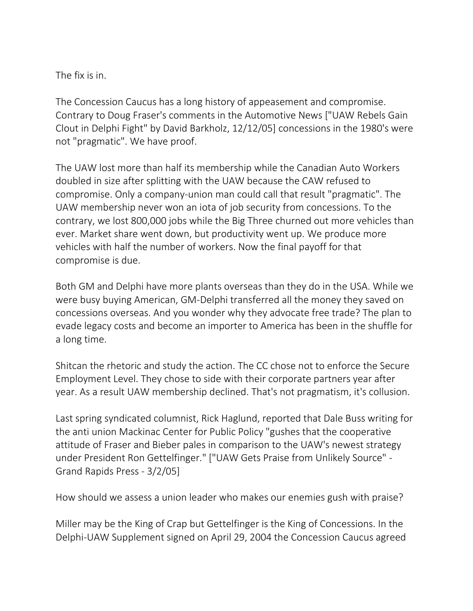The fix is in.

The Concession Caucus has a long history of appeasement and compromise. Contrary to Doug Fraser's comments in the Automotive News ["UAW Rebels Gain Clout in Delphi Fight" by David Barkholz, 12/12/05] concessions in the 1980's were not "pragmatic". We have proof.

The UAW lost more than half its membership while the Canadian Auto Workers doubled in size after splitting with the UAW because the CAW refused to compromise. Only a company-union man could call that result "pragmatic". The UAW membership never won an iota of job security from concessions. To the contrary, we lost 800,000 jobs while the Big Three churned out more vehicles than ever. Market share went down, but productivity went up. We produce more vehicles with half the number of workers. Now the final payoff for that compromise is due.

Both GM and Delphi have more plants overseas than they do in the USA. While we were busy buying American, GM-Delphi transferred all the money they saved on concessions overseas. And you wonder why they advocate free trade? The plan to evade legacy costs and become an importer to America has been in the shuffle for a long time.

Shitcan the rhetoric and study the action. The CC chose not to enforce the Secure Employment Level. They chose to side with their corporate partners year after year. As a result UAW membership declined. That's not pragmatism, it's collusion.

Last spring syndicated columnist, Rick Haglund, reported that Dale Buss writing for the anti union Mackinac Center for Public Policy "gushes that the cooperative attitude of Fraser and Bieber pales in comparison to the UAW's newest strategy under President Ron Gettelfinger." ["UAW Gets Praise from Unlikely Source" - Grand Rapids Press - 3/2/05]

How should we assess a union leader who makes our enemies gush with praise?

Miller may be the King of Crap but Gettelfinger is the King of Concessions. In the Delphi-UAW Supplement signed on April 29, 2004 the Concession Caucus agreed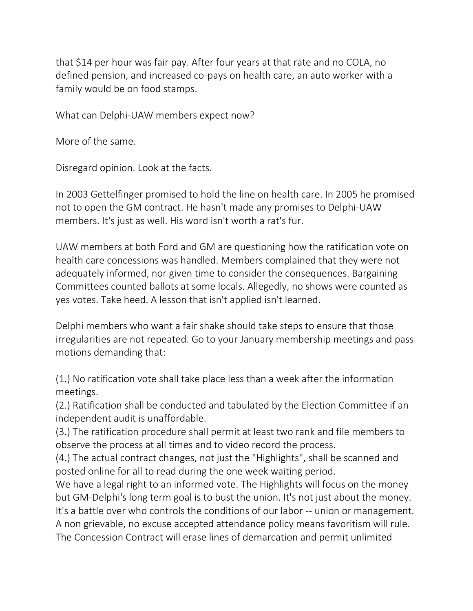that \$14 per hour was fair pay. After four years at that rate and no COLA, no defined pension, and increased co-pays on health care, an auto worker with a family would be on food stamps.

What can Delphi-UAW members expect now?

More of the same.

Disregard opinion. Look at the facts.

In 2003 Gettelfinger promised to hold the line on health care. In 2005 he promised not to open the GM contract. He hasn't made any promises to Delphi-UAW members. It's just as well. His word isn't worth a rat's fur.

UAW members at both Ford and GM are questioning how the ratification vote on health care concessions was handled. Members complained that they were not adequately informed, nor given time to consider the consequences. Bargaining Committees counted ballots at some locals. Allegedly, no shows were counted as yes votes. Take heed. A lesson that isn't applied isn't learned.

Delphi members who want a fair shake should take steps to ensure that those irregularities are not repeated. Go to your January membership meetings and pass motions demanding that:

(1.) No ratification vote shall take place less than a week after the information meetings.

(2.) Ratification shall be conducted and tabulated by the Election Committee if an independent audit is unaffordable.

(3.) The ratification procedure shall permit at least two rank and file members to observe the process at all times and to video record the process.

(4.) The actual contract changes, not just the "Highlights", shall be scanned and posted online for all to read during the one week waiting period.

We have a legal right to an informed vote. The Highlights will focus on the money but GM-Delphi's long term goal is to bust the union. It's not just about the money. It's a battle over who controls the conditions of our labor -- union or management. A non grievable, no excuse accepted attendance policy means favoritism will rule. The Concession Contract will erase lines of demarcation and permit unlimited